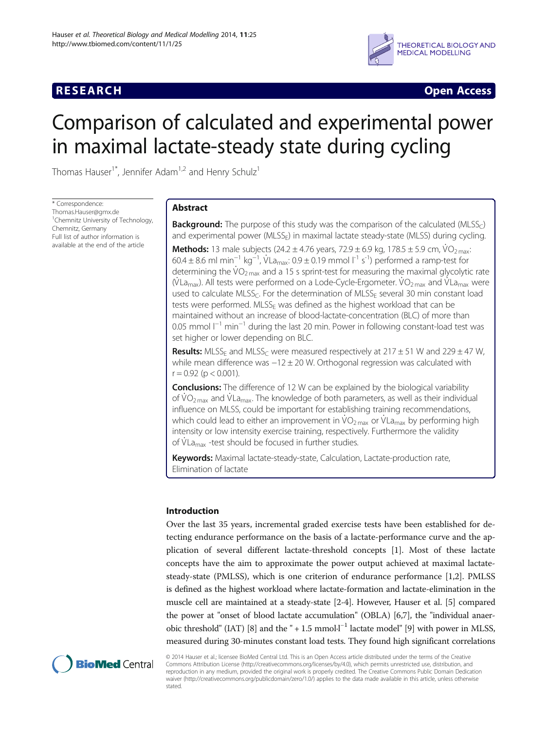## **RESEARCH CHINESE ARCH CHINESE ARCH CHINESE ARCH**



# Comparison of calculated and experimental power in maximal lactate-steady state during cycling

Thomas Hauser<sup>1\*</sup>, Jennifer Adam<sup>1,2</sup> and Henry Schulz<sup>1</sup>

\* Correspondence: [Thomas.Hauser@gmx.de](mailto:Thomas.Hauser@gmx.de) <sup>1</sup>Chemnitz University of Technology, Chemnitz, Germany Full list of author information is available at the end of the article

## Abstract

**Background:** The purpose of this study was the comparison of the calculated (MLSS $_C$ ) and experimental power (MLSS<sub>E</sub>) in maximal lactate steady-state (MLSS) during cycling.

**Methods:** 13 male subjects (24.2  $\pm$  4.76 years, 72.9  $\pm$  6.9 kg, 178.5  $\pm$  5.9 cm, VO<sub>2 max</sub>:  $60.4 \pm 8.6$  ml min<sup>-1</sup> kg<sup>-1</sup>, VLa<sub>max</sub>: 0.9 ± 0.19 mmol l<sup>-1</sup> s<sup>-1</sup>) performed a ramp-test for determining the  $\rm \dot{VO}_{2\,max}$  and a 15 s sprint-test for measuring the maximal glycolytic rate (VLa<sub>max</sub>). All tests were performed on a Lode-Cycle-Ergometer. VO<sub>2 max</sub> and VLa<sub>max</sub> were used to calculate MLSS<sub>C</sub>. For the determination of MLSS<sub>F</sub> several 30 min constant load tests were performed.  $MLSS<sub>E</sub>$  was defined as the highest workload that can be maintained without an increase of blood-lactate-concentration (BLC) of more than 0.05 mmol  $I^{-1}$  min<sup>-1</sup> during the last 20 min. Power in following constant-load test was set higher or lower depending on BLC.

**Results:** MLSS<sub>F</sub> and MLSS<sub>C</sub> were measured respectively at 217  $\pm$  51 W and 229  $\pm$  47 W, while mean difference was −12 ± 20 W. Orthogonal regression was calculated with  $r = 0.92$  (p < 0.001).

**Conclusions:** The difference of 12 W can be explained by the biological variability of  $\rm \dot{VO}_{2\,max}$  and  $\rm \dot{V}La_{max}$ . The knowledge of both parameters, as well as their individual influence on MLSS, could be important for establishing training recommendations, which could lead to either an improvement in  $VO<sub>2 max</sub>$  or VLa<sub>max</sub> by performing high intensity or low intensity exercise training, respectively. Furthermore the validity of VLa<sub>max</sub> -test should be focused in further studies.

Keywords: Maximal lactate-steady-state, Calculation, Lactate-production rate, Elimination of lactate

## Introduction

Over the last 35 years, incremental graded exercise tests have been established for detecting endurance performance on the basis of a lactate-performance curve and the application of several different lactate-threshold concepts [[1\]](#page-10-0). Most of these lactate concepts have the aim to approximate the power output achieved at maximal lactatesteady-state (PMLSS), which is one criterion of endurance performance [\[1,2](#page-10-0)]. PMLSS is defined as the highest workload where lactate-formation and lactate-elimination in the muscle cell are maintained at a steady-state [[2-4](#page-10-0)]. However, Hauser et al. [\[5](#page-10-0)] compared the power at "onset of blood lactate accumulation" (OBLA) [\[6,7\]](#page-10-0), the "individual anaer-obic threshold" (IAT) [[8](#page-10-0)] and the " + 1.5 mmol·l<sup>-1</sup> lactate model" [\[9\]](#page-10-0) with power in MLSS, measured during 30-minutes constant load tests. They found high significant correlations



© 2014 Hauser et al.; licensee BioMed Central Ltd. This is an Open Access article distributed under the terms of the Creative Commons Attribution License [\(http://creativecommons.org/licenses/by/4.0\)](http://creativecommons.org/licenses/by/4.0), which permits unrestricted use, distribution, and reproduction in any medium, provided the original work is properly credited. The Creative Commons Public Domain Dedication waiver [\(http://creativecommons.org/publicdomain/zero/1.0/\)](http://creativecommons.org/publicdomain/zero/1.0/) applies to the data made available in this article, unless otherwise stated.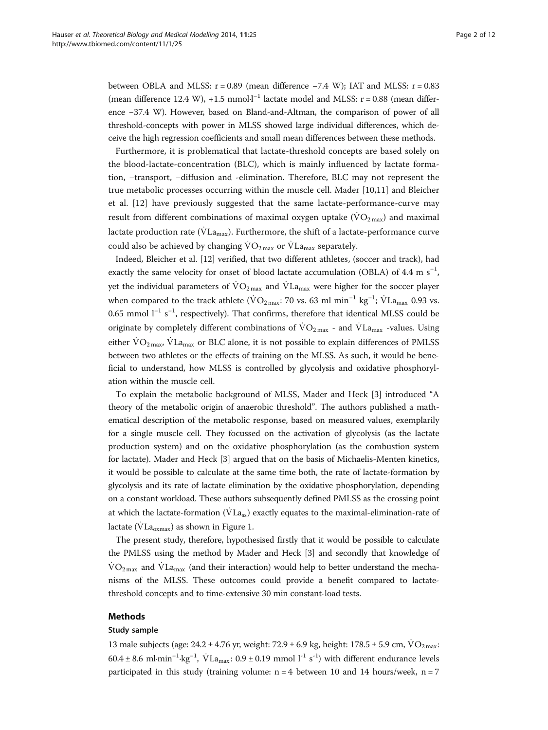between OBLA and MLSS:  $r = 0.89$  (mean difference  $-7.4$  W); IAT and MLSS:  $r = 0.83$ (mean difference 12.4 W), +1.5 mmol·l<sup>-1</sup> lactate model and MLSS: r = 0.88 (mean difference −37.4 W). However, based on Bland-and-Altman, the comparison of power of all threshold-concepts with power in MLSS showed large individual differences, which deceive the high regression coefficients and small mean differences between these methods.

Furthermore, it is problematical that lactate-threshold concepts are based solely on the blood-lactate-concentration (BLC), which is mainly influenced by lactate formation, −transport, −diffusion and -elimination. Therefore, BLC may not represent the true metabolic processes occurring within the muscle cell. Mader [\[10,11](#page-10-0)] and Bleicher et al. [\[12](#page-10-0)] have previously suggested that the same lactate-performance-curve may result from different combinations of maximal oxygen uptake  $(\rm{VO}_{2\text{ max}})$  and maximal lactate production rate ( $\dot{V}$ La<sub>max</sub>). Furthermore, the shift of a lactate-performance curve could also be achieved by changing  $\rm \dot{VO}_{2\,max}$  or  $\rm \dot{V}La_{max}$  separately.

Indeed, Bleicher et al. [[12\]](#page-10-0) verified, that two different athletes, (soccer and track), had exactly the same velocity for onset of blood lactate accumulation (OBLA) of 4.4 m  $s^{-1}$ , yet the individual parameters of  $\rm \dot{VO}_{2\,max}$  and  $\rm \dot{V}L_{a_{\rm max}}$  were higher for the soccer player when compared to the track athlete ( $\rm \dot{VO}_{2\,max}\: 70$  vs. 63 ml min $^{-1}$  kg $^{-1}$ ;  $\rm \dot{VL}$ a<sub>max</sub> 0.93 vs. 0.65 mmol l<sup>-1</sup> s<sup>-1</sup>, respectively). That confirms, therefore that identical MLSS could be originate by completely different combinations of  $\rm \dot{VO}_{2\,max}$  - and  $\rm \dot{V}La_{max}$  -values. Using either  $\rm{VO_{2\,max}}$ ,  $\rm{VLa_{max}}$  or BLC alone, it is not possible to explain differences of PMLSS between two athletes or the effects of training on the MLSS. As such, it would be beneficial to understand, how MLSS is controlled by glycolysis and oxidative phosphorylation within the muscle cell.

To explain the metabolic background of MLSS, Mader and Heck [[3\]](#page-10-0) introduced "A theory of the metabolic origin of anaerobic threshold". The authors published a mathematical description of the metabolic response, based on measured values, exemplarily for a single muscle cell. They focussed on the activation of glycolysis (as the lactate production system) and on the oxidative phosphorylation (as the combustion system for lactate). Mader and Heck [\[3](#page-10-0)] argued that on the basis of Michaelis-Menten kinetics, it would be possible to calculate at the same time both, the rate of lactate-formation by glycolysis and its rate of lactate elimination by the oxidative phosphorylation, depending on a constant workload. These authors subsequently defined PMLSS as the crossing point at which the lactate-formation ( $\dot{V}$ La<sub>ss</sub>) exactly equates to the maximal-elimination-rate of lactate ( $\dot{V}$ La<sub>oxmax</sub>) as shown in Figure [1](#page-2-0).

The present study, therefore, hypothesised firstly that it would be possible to calculate the PMLSS using the method by Mader and Heck [\[3](#page-10-0)] and secondly that knowledge of  $VO<sub>2 max</sub>$  and  $VL<sub>max</sub>$  (and their interaction) would help to better understand the mechanisms of the MLSS. These outcomes could provide a benefit compared to lactatethreshold concepts and to time-extensive 30 min constant-load tests.

## Methods

#### Study sample

13 male subjects (age:  $24.2 \pm 4.76$  yr, weight:  $72.9 \pm 6.9$  kg, height:  $178.5 \pm 5.9$  cm,  $\rm \dot{VO}_{2\,max}$ : 60.4 ± 8.6 ml·min<sup>-1</sup>·kg<sup>-1</sup>,  $\dot{V}$ La<sub>max</sub>: 0.9 ± 0.19 mmol l<sup>-1</sup> s<sup>-1</sup>) with different endurance levels participated in this study (training volume:  $n = 4$  between 10 and 14 hours/week,  $n = 7$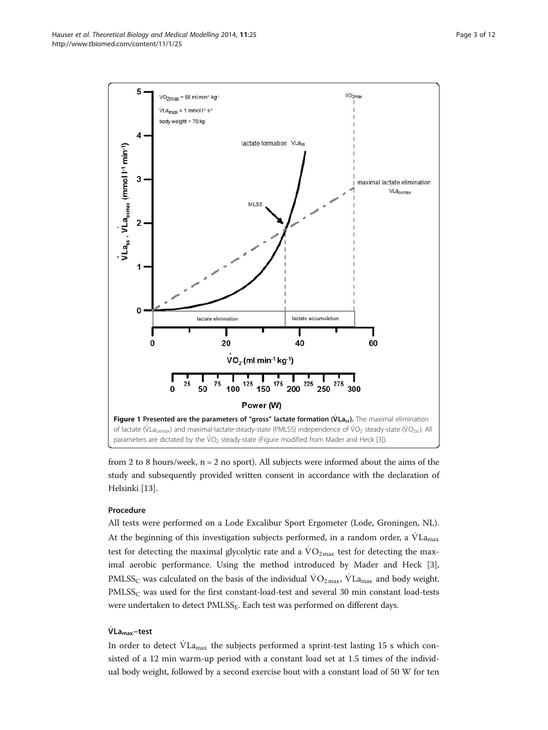<span id="page-2-0"></span>

from 2 to 8 hours/week,  $n = 2$  no sport). All subjects were informed about the aims of the study and subsequently provided written consent in accordance with the declaration of Helsinki [\[13](#page-10-0)].

## Procedure

All tests were performed on a Lode Excalibur Sport Ergometer (Lode, Groningen, NL). At the beginning of this investigation subjects performed, in a random order, a  $\dot{V}La$ <sub>max</sub> test for detecting the maximal glycolytic rate and a  $\rm{VO_{2\,max}}$  test for detecting the maximal aerobic performance. Using the method introduced by Mader and Heck [\[3](#page-10-0)], PMLSS<sub>C</sub> was calculated on the basis of the individual  $\rm \dot{VO}_{2\,max}$ ,  $\rm \dot{V}La_{max}$  and body weight.  $PMLSS<sub>C</sub>$  was used for the first constant-load-test and several 30 min constant load-tests were undertaken to detect PMLSS<sub>E</sub>. Each test was performed on different days.

## $\dot{V}$ La<sub>max</sub>−test

In order to detect  $VLa_{max}$  the subjects performed a sprint-test lasting 15 s which consisted of a 12 min warm-up period with a constant load set at 1.5 times of the individual body weight, followed by a second exercise bout with a constant load of 50 W for ten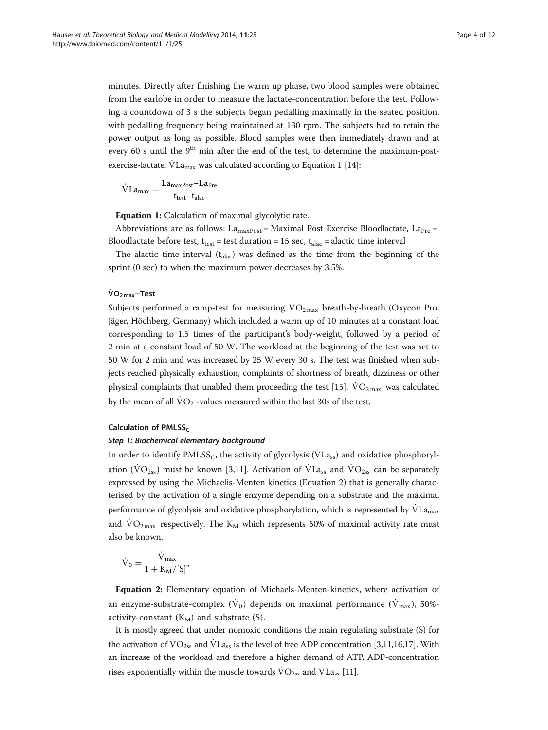<span id="page-3-0"></span>minutes. Directly after finishing the warm up phase, two blood samples were obtained from the earlobe in order to measure the lactate-concentration before the test. Following a countdown of 3 s the subjects began pedalling maximally in the seated position, with pedalling frequency being maintained at 130 rpm. The subjects had to retain the power output as long as possible. Blood samples were then immediately drawn and at every 60 s until the  $9<sup>th</sup>$  min after the end of the test, to determine the maximum-postexercise-lactate.  $\dot{V}$ La<sub>max</sub> was calculated according to Equation 1 [\[14](#page-10-0)]:

$$
\dot{V} L a_{max} = \frac{L a_{maxPost} - L a_{Pre}}{t_{test} - t_{alac}}
$$

Equation 1: Calculation of maximal glycolytic rate.

Abbreviations are as follows:  $La_{maxPost} = Maximal Post Exercise Bloodlactate, La_{Pre} =$ Bloodlactate before test,  $t_{test}$  = test duration = 15 sec,  $t_{\text{alac}}$  = alactic time interval

The alactic time interval  $(t<sub>alac</sub>)$  was defined as the time from the beginning of the sprint (0 sec) to when the maximum power decreases by 3.5%.

## $\dot{V}O_{2\text{ max}}$ –Test

Subjects performed a ramp-test for measuring  $VO<sub>2 max</sub>$  breath-by-breath (Oxycon Pro, Jäger, Höchberg, Germany) which included a warm up of 10 minutes at a constant load corresponding to 1.5 times of the participant's body-weight, followed by a period of 2 min at a constant load of 50 W. The workload at the beginning of the test was set to 50 W for 2 min and was increased by 25 W every 30 s. The test was finished when subjects reached physically exhaustion, complaints of shortness of breath, dizziness or other physical complaints that unabled them proceeding the test [[15](#page-10-0)].  $\dot{V}O_{2\text{max}}$  was calculated by the mean of all  $\text{VO}_2$  -values measured within the last 30s of the test.

#### Calculation of PMLSS $<sub>c</sub>$ </sub>

## Step 1: Biochemical elementary background

In order to identify  $PMLSS_C$ , the activity of glycolysis ( $VLa_{ss}$ ) and oxidative phosphoryl-ation (VO<sub>2ss</sub>) must be known [\[3,11](#page-10-0)]. Activation of VLa<sub>ss</sub> and VO<sub>2ss</sub> can be separately expressed by using the Michaelis-Menten kinetics (Equation 2) that is generally characterised by the activation of a single enzyme depending on a substrate and the maximal performance of glycolysis and oxidative phosphorylation, which is represented by  $\dot{V}L_{a_{max}}$ and  $\text{VO}_2\text{max}$  respectively. The K<sub>M</sub> which represents 50% of maximal activity rate must also be known.

$$
\dot{\boldsymbol{V}}_{0}=\frac{\dot{\boldsymbol{V}}_{\text{max}}}{1+K_{\text{M}}/{\left[S\right]}^n}
$$

Equation 2: Elementary equation of Michaels-Menten-kinetics, where activation of an enzyme-substrate-complex (V<sub>0</sub>) depends on maximal performance (V<sub>max</sub>), 50%activity-constant  $(K_M)$  and substrate (S).

It is mostly agreed that under nomoxic conditions the main regulating substrate (S) for the activation of  $\rm{VO}_{2ss}$  and  $\rm{V}La_{ss}$  is the level of free ADP concentration [\[3,11,16,17](#page-10-0)]. With an increase of the workload and therefore a higher demand of ATP, ADP-concentration rises exponentially within the muscle towards  $\dot{V}O_{2ss}$  and  $\dot{V}La_{ss}$  [\[11\]](#page-10-0).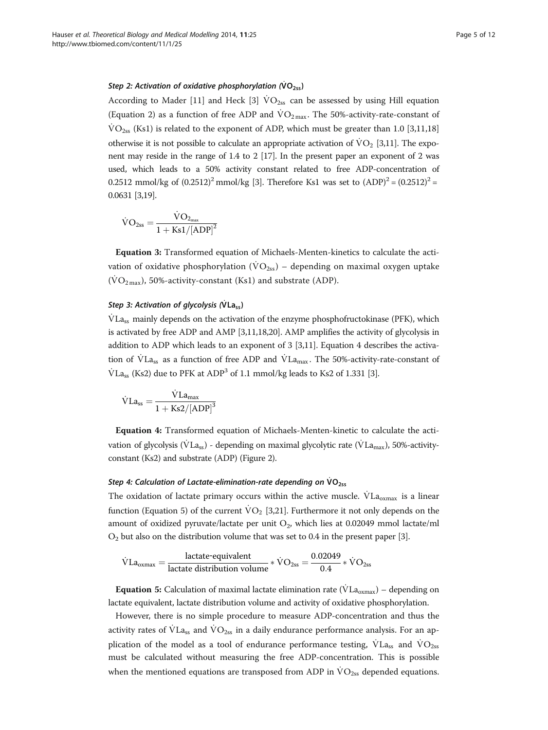#### <span id="page-4-0"></span>Step 2: Activation of oxidative phosphorylation (VO<sub>2ss</sub>)

According to Mader [[11](#page-10-0)] and Heck [[3](#page-10-0)]  $VO<sub>2ss</sub>$  can be assessed by using Hill equation (Equation 2) as a function of free ADP and  $\rm \dot{VO}_{2\,max}$ . The 50%-activity-rate-constant of  $\text{VO}_{2ss}$  (Ks1) is related to the exponent of ADP, which must be greater than 1.0 [[3,11,](#page-10-0)[18](#page-11-0)] otherwise it is not possible to calculate an appropriate activation of  $VO_2$  [\[3,11\]](#page-10-0). The expo-nent may reside in the range of 1.4 to 2 [[17](#page-10-0)]. In the present paper an exponent of 2 was used, which leads to a 50% activity constant related to free ADP-concentration of 0.2512 mmol/kg of  $(0.2512)^2$  mmol/kg [\[3\]](#page-10-0). Therefore Ks1 was set to  $(ADP)^2 = (0.2512)^2 =$ 0.0631 [\[3,](#page-10-0)[19](#page-11-0)].

$$
\dot{V}O_{2ss}=\frac{\dot{V}O_{2_{max}}}{1+Ks1/[ADP]^2}
$$

Equation 3: Transformed equation of Michaels-Menten-kinetics to calculate the activation of oxidative phosphorylation ( $\rm\dot{VO}_{2ss}$ ) – depending on maximal oxygen uptake  $(\text{VO}_2\text{max})$ , 50%-activity-constant (Ks1) and substrate (ADP).

## Step 3: Activation of glycolysis ( $Vla_{ss}$ )

VLa<sub>ss</sub> mainly depends on the activation of the enzyme phosphofructokinase (PFK), which is activated by free ADP and AMP [[3,11](#page-10-0)[,18,20\]](#page-11-0). AMP amplifies the activity of glycolysis in addition to ADP which leads to an exponent of 3 [[3,11](#page-10-0)]. Equation 4 describes the activation of  $\dot{V}$ La<sub>ss</sub> as a function of free ADP and  $\dot{V}$ La<sub>max</sub>. The 50%-activity-rate-constant of  $\text{VLa}_\text{ss}$  (Ks2) due to PFK at ADP<sup>3</sup> of 1.1 mmol/kg leads to Ks2 of 1.331 [[3\]](#page-10-0).

$$
\dot{V}La_{ss}=\frac{\dot{V}La_{max}}{1+Ks2/[ADP]^3}
$$

Equation 4: Transformed equation of Michaels-Menten-kinetic to calculate the activation of glycolysis (VLa<sub>ss</sub>) - depending on maximal glycolytic rate (VLa<sub>max</sub>), 50%-activityconstant (Ks2) and substrate (ADP) (Figure [2\)](#page-5-0).

#### Step 4: Calculation of Lactate-elimination-rate depending on  $\dot{V}O_{2ss}$

The oxidation of lactate primary occurs within the active muscle.  $VLa_{\text{oxmax}}$  is a linear function (Equation 5) of the current  $\dot{V}O_2$  [[3,](#page-10-0)[21](#page-11-0)]. Furthermore it not only depends on the amount of oxidized pyruvate/lactate per unit  $O_2$ , which lies at 0.02049 mmol lactate/ml  $O<sub>2</sub>$  but also on the distribution volume that was set to 0.4 in the present paper [[3\]](#page-10-0).

$$
\dot{V}La_{oxmax} = \frac{\text{lactate-equivalent}}{\text{lactate distribution volume}} * \dot{V}O_{2ss} = \frac{0.02049}{0.4} * \dot{V}O_{2ss}
$$

**Equation 5:** Calculation of maximal lactate elimination rate ( $\dot{V}$ La<sub>oxmax</sub>) – depending on lactate equivalent, lactate distribution volume and activity of oxidative phosphorylation.

However, there is no simple procedure to measure ADP-concentration and thus the activity rates of  $\text{VLa}_{ss}$  and  $\text{VO}_{2ss}$  in a daily endurance performance analysis. For an application of the model as a tool of endurance performance testing,  $\overline{V}$ La<sub>ss</sub> and  $\overline{V}O_{2ss}$ must be calculated without measuring the free ADP-concentration. This is possible when the mentioned equations are transposed from ADP in  $\rm \ddot{VO}_{2ss}$  depended equations.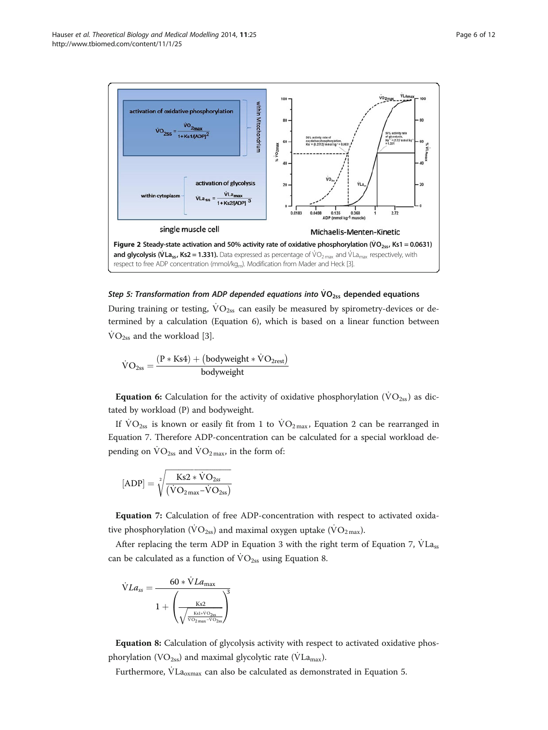<span id="page-5-0"></span>

## Step 5: Transformation from ADP depended equations into  $VO<sub>2ss</sub>$  depended equations

During training or testing,  $VO<sub>2ss</sub>$  can easily be measured by spirometry-devices or determined by a calculation (Equation 6), which is based on a linear function between  $\text{VO}_{2ss}$  and the workload [[3\]](#page-10-0).

$$
\dot{V}O_{2ss}=\frac{(P*Ks4)+\left(bodyweight*\dot{V}O_{2rest}\right)}{bodyweight}
$$

**Equation 6:** Calculation for the activity of oxidative phosphorylation ( $\rm{VO}_{2ss}$ ) as dictated by workload (P) and bodyweight.

If  $\text{VO}_{2ss}$  is known or easily fit from 1 to  $\text{VO}_{2\text{max}}$ , Equation [2](#page-3-0) can be rearranged in Equation 7. Therefore ADP-concentration can be calculated for a special workload depending on  $\dot{V}O_{2ss}$  and  $\dot{V}O_{2max}$ , in the form of:

$$
[ADP]=\sqrt[2]{\frac{Ks2*\dot{V}O_{2ss}}{(\dot{V}O_{2\,max}-\dot{V}O_{2ss})}}
$$

Equation 7: Calculation of free ADP-concentration with respect to activated oxidative phosphorylation ( $\rm \dot{VO}_{2ss}$ ) and maximal oxygen uptake ( $\rm \dot{VO}_{2\,max}$ ).

After replacing the term ADP in Equation [3](#page-4-0) with the right term of Equation 7,  $\dot{V}La_{ss}$ can be calculated as a function of  $\rm VO_{2ss}$  using Equation 8.

$$
\dot{V}La_{ss} = \frac{60 * \dot{V}La_{\text{max}}}{1 + \left(\frac{Ks2}{\sqrt{\frac{Ks1 * \dot{V}O_{2ss}}{\dot{V}O_{2\text{max}} - \dot{V}O_{2ss}}}}\right)^3}
$$

Equation 8: Calculation of glycolysis activity with respect to activated oxidative phosphorylation (VO<sub>2ss</sub>) and maximal glycolytic rate ( $\dot{V}La$ <sub>max</sub>).

Furthermore,  $\rm \dot{V}La_{oxmax}$  can also be calculated as demonstrated in Equation [5.](#page-4-0)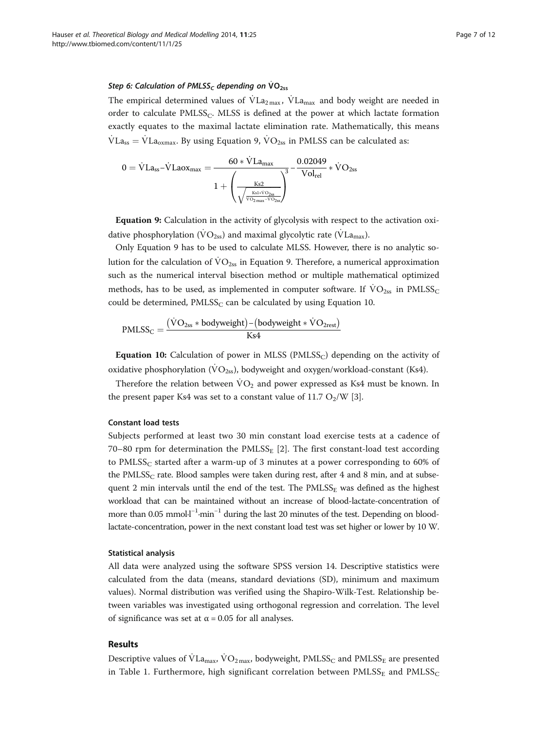#### Step 6: Calculation of PMLSS<sub>c</sub> depending on  $VO<sub>2ss</sub>$

The empirical determined values of  $VL_{2\max}$ ,  $VL_{\max}$  and body weight are needed in order to calculate  $PMLSS_C$ . MLSS is defined at the power at which lactate formation exactly equates to the maximal lactate elimination rate. Mathematically, this means  $\text{VLa}_{\text{ss}} = \text{VLa}_{\text{oxmax}}$ . By using Equation 9,  $\text{VO}_{\text{2ss}}$  in PMLSS can be calculated as:

$$
0 = \dot{V} L a_{ss} - \dot{V} L a_{0X_{max}} = \frac{60 * \dot{V} L a_{max}}{1 + \left(\frac{K s2}{\sqrt{\frac{K s1 * \dot{V} O_{2ss}}{\dot{V} O_{2max} + \dot{V} O_{2ss}}}}\right)^3} - \frac{0.02049}{\text{Vol}_{rel}} * \dot{V} O_{2ss}
$$

Equation 9: Calculation in the activity of glycolysis with respect to the activation oxidative phosphorylation ( $\rm\dot{VO}_{2ss}$ ) and maximal glycolytic rate ( $\rm\dot{V}La_{max}$ ).

Only Equation 9 has to be used to calculate MLSS. However, there is no analytic solution for the calculation of  $\dot{V}\text{O}_{2ss}$  in Equation 9. Therefore, a numerical approximation such as the numerical interval bisection method or multiple mathematical optimized methods, has to be used, as implemented in computer software. If  $\text{VO}_{2ss}$  in PMLSS<sub>C</sub> could be determined,  $PMLSS_C$  can be calculated by using Equation 10.

$$
PMLSS_C = \frac{(\dot{V}O_{2ss} * bodyweight) - (bodyweight * \dot{V}O_{2rest})}{Ks4}
$$

**Equation 10:** Calculation of power in MLSS (PMLSS<sub>C</sub>) depending on the activity of oxidative phosphorylation ( $\dot{V}O_{2ss}$ ), bodyweight and oxygen/workload-constant (Ks4).

Therefore the relation between  $\dot{V}O_2$  and power expressed as Ks4 must be known. In the present paper Ks4 was set to a constant value of  $11.7 O<sub>2</sub>/W$  [[3\]](#page-10-0).

#### Constant load tests

Subjects performed at least two 30 min constant load exercise tests at a cadence of 70–80 rpm for determination the  $PMLSS_E$  [\[2](#page-10-0)]. The first constant-load test according to PMLSS<sub>C</sub> started after a warm-up of 3 minutes at a power corresponding to  $60\%$  of the PMLSS<sub>C</sub> rate. Blood samples were taken during rest, after 4 and 8 min, and at subsequent 2 min intervals until the end of the test. The  $PMLSS<sub>E</sub>$  was defined as the highest workload that can be maintained without an increase of blood-lactate-concentration of more than 0.05 mmol·l<sup>-1</sup>·min<sup>-1</sup> during the last 20 minutes of the test. Depending on bloodlactate-concentration, power in the next constant load test was set higher or lower by 10 W.

#### Statistical analysis

All data were analyzed using the software SPSS version 14. Descriptive statistics were calculated from the data (means, standard deviations (SD), minimum and maximum values). Normal distribution was verified using the Shapiro-Wilk-Test. Relationship between variables was investigated using orthogonal regression and correlation. The level of significance was set at  $\alpha$  = 0.05 for all analyses.

#### Results

Descriptive values of  $\text{VLa}_\text{max}$ ,  $\text{VO}_\text{2 max}$ , bodyweight, PMLSS<sub>C</sub> and PMLSS<sub>E</sub> are presented in Table [1.](#page-7-0) Furthermore, high significant correlation between  $PMLSS_E$  and  $PMLSS_C$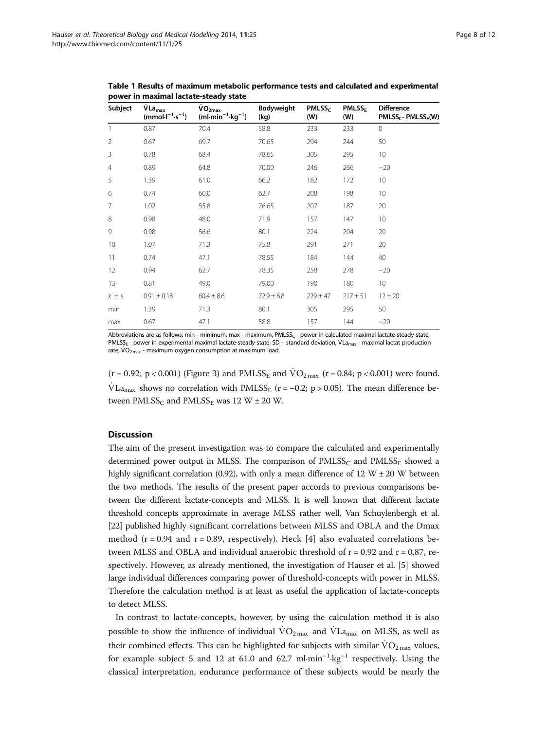| Subject              | VLa <sub>max</sub><br>$(mmol·l-1·s-1)$ | VO <sub>2max</sub><br>$(ml·min^{-1}·kg^{-1})$ | Bodyweight<br>(kg) | PMLSS <sub>c</sub><br>(W) | <b>PMLSS<sub>F</sub></b><br>(W) | <b>Difference</b><br>PMLSS <sub>C</sub> - PMLSS <sub>E</sub> (W) |
|----------------------|----------------------------------------|-----------------------------------------------|--------------------|---------------------------|---------------------------------|------------------------------------------------------------------|
| $\mathbf{1}$         | 0.87                                   | 70.4                                          | 58.8               | 233                       | 233                             | $\Omega$                                                         |
| $\overline{2}$       | 0.67                                   | 69.7                                          | 70.65              | 294                       | 244                             | 50                                                               |
| 3                    | 0.78                                   | 68.4                                          | 78.65              | 305                       | 295                             | 10                                                               |
| $\overline{4}$       | 0.89                                   | 64.8                                          | 70.00              | 246                       | 266                             | $-20$                                                            |
| 5                    | 1.39                                   | 61.0                                          | 66.2               | 182                       | 172                             | 10                                                               |
| 6                    | 0.74                                   | 60.0                                          | 62.7               | 208                       | 198                             | 10                                                               |
| 7                    | 1.02                                   | 55.8                                          | 76.65              | 207                       | 187                             | 20                                                               |
| 8                    | 0.98                                   | 48.0                                          | 71.9               | 157                       | 147                             | 10                                                               |
| 9                    | 0.98                                   | 56.6                                          | 80.1               | 224                       | 204                             | 20                                                               |
| 10 <sup>°</sup>      | 1.07                                   | 71.3                                          | 75.8               | 291                       | 271                             | 20                                                               |
| 11                   | 0.74                                   | 47.1                                          | 78.55              | 184                       | 144                             | 40                                                               |
| 12                   | 0.94                                   | 62.7                                          | 78.35              | 258                       | 278                             | $-20$                                                            |
| 13                   | 0.81                                   | 49.0                                          | 79.00              | 190                       | 180                             | 10                                                               |
| $\overline{x} \pm s$ | $0.91 \pm 0.18$                        | $60.4 \pm 8.6$                                | $72.9 \pm 6.8$     | $229 \pm 47$              | $217 \pm 51$                    | $12 \pm 20$                                                      |
| min                  | 1.39                                   | 71.3                                          | 80.1               | 305                       | 295                             | 50                                                               |
| max                  | 0.67                                   | 47.1                                          | 58.8               | 157                       | 144                             | $-20$                                                            |

<span id="page-7-0"></span>Table 1 Results of maximum metabolic performance tests and calculated and experimental power in maximal lactate-steady state

Abbreviations are as follows: min - minimum, max - maximum, PMLSS<sub>C</sub> - power in calculated maximal lactate-steady-state, PMLSS<sub>E</sub> - power in experimental maximal lactate-steady-state, SD – standard deviation, VLa<sub>max</sub> - maximal lactat production rate,  $\dot{V}O_{2\text{ max}}$  - maximum oxygen consumption at maximum load.

 $(r = 0.92; p < 0.001)$  (Figure [3\)](#page-8-0) and PMLSS<sub>E</sub> and  $\text{VO}_{2\text{max}}$  ( $r = 0.84; p < 0.001$ ) were found.  $\text{VLA}_{\text{max}}$  shows no correlation with PMLSS<sub>E</sub> (r = −0.2; p > 0.05). The mean difference between  $PMLSS_C$  and  $PMLSS_E$  was 12 W  $\pm$  20 W.

#### **Discussion**

The aim of the present investigation was to compare the calculated and experimentally determined power output in MLSS. The comparison of  $PMLSS_C$  and  $PMLSS_E$  showed a highly significant correlation (0.92), with only a mean difference of 12 W  $\pm$  20 W between the two methods. The results of the present paper accords to previous comparisons between the different lactate-concepts and MLSS. It is well known that different lactate threshold concepts approximate in average MLSS rather well. Van Schuylenbergh et al. [[22](#page-11-0)] published highly significant correlations between MLSS and OBLA and the Dmax method ( $r = 0.94$  and  $r = 0.89$ , respectively). Heck [\[4](#page-10-0)] also evaluated correlations between MLSS and OBLA and individual anaerobic threshold of  $r = 0.92$  and  $r = 0.87$ , respectively. However, as already mentioned, the investigation of Hauser et al. [\[5\]](#page-10-0) showed large individual differences comparing power of threshold-concepts with power in MLSS. Therefore the calculation method is at least as useful the application of lactate-concepts to detect MLSS.

In contrast to lactate-concepts, however, by using the calculation method it is also possible to show the influence of individual  $\rm VO_{2\,max}$  and  $\rm VLa_{\rm max}$  on MLSS, as well as their combined effects. This can be highlighted for subjects with similar  $\dot{V}O_{2\text{ max}}$  values, for example subject 5 and 12 at 61.0 and 62.7 ml·min<sup>-1</sup>·kg<sup>-1</sup> respectively. Using the classical interpretation, endurance performance of these subjects would be nearly the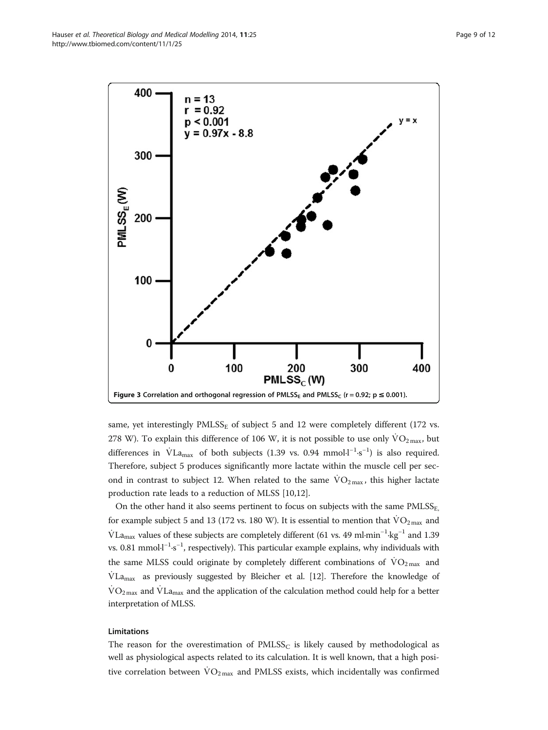<span id="page-8-0"></span>

same, yet interestingly  $PMLSS<sub>E</sub>$  of subject 5 and 12 were completely different (172 vs. 278 W). To explain this difference of 106 W, it is not possible to use only  $\dot{V}O_{2\text{max}}$ , but differences in  $\dot{V}$ La<sub>max</sub> of both subjects (1.39 vs. 0.94 mmol·l<sup>-1</sup>·s<sup>-1</sup>) is also required. Therefore, subject 5 produces significantly more lactate within the muscle cell per second in contrast to subject 12. When related to the same  $\rm{VO_{2\,max}}$ , this higher lactate production rate leads to a reduction of MLSS [\[10,12](#page-10-0)].

On the other hand it also seems pertinent to focus on subjects with the same PMLSS<sub>E</sub>, for example subject 5 and 13 (172 vs. 180 W). It is essential to mention that  $\rm \ddot{VO}_{2\,max}$  and  $\rm \dot{V}La_{max}$  values of these subjects are completely different (61 vs. 49 ml·min<sup>-1</sup>·kg<sup>-1</sup> and 1.39 vs. 0.81 mmol·l<sup>-1</sup>·s<sup>-1</sup>, respectively). This particular example explains, why individuals with the same MLSS could originate by completely different combinations of  $\text{VO}_2$ <sub>max</sub> and  $VLa<sub>max</sub>$  as previously suggested by Bleicher et al. [[12](#page-10-0)]. Therefore the knowledge of  $\rm \dot{VO}_{2\,max}$  and  $\rm \dot{V}La_{max}$  and the application of the calculation method could help for a better interpretation of MLSS.

#### Limitations

The reason for the overestimation of  $PMLSS<sub>C</sub>$  is likely caused by methodological as well as physiological aspects related to its calculation. It is well known, that a high positive correlation between  $\rm{VO_{2\,max}}$  and PMLSS exists, which incidentally was confirmed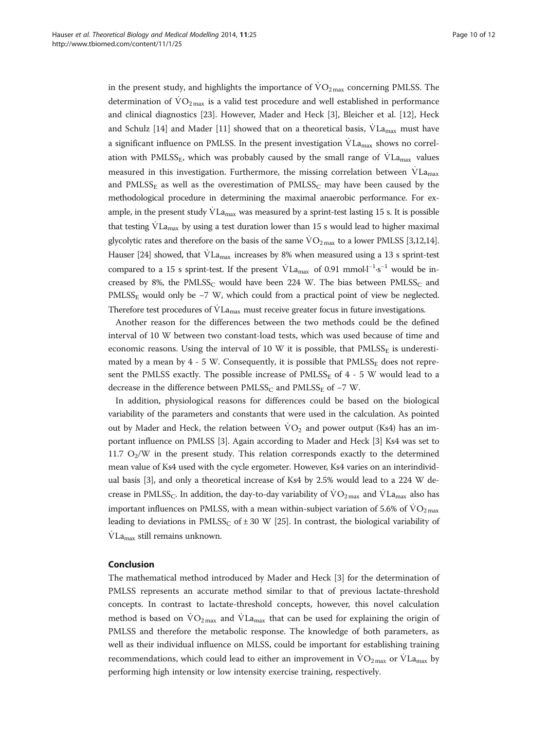in the present study, and highlights the importance of  $\rm \dot{VO}_{2\,max}$  concerning PMLSS. The determination of  $\rm VO_{2\,max}$  is a valid test procedure and well established in performance and clinical diagnostics [[23\]](#page-11-0). However, Mader and Heck [\[3](#page-10-0)], Bleicher et al. [\[12](#page-10-0)], Heck and Schulz [[14](#page-10-0)] and Mader [[11](#page-10-0)] showed that on a theoretical basis,  $\dot{V}La_{max}$  must have a significant influence on PMLSS. In the present investigation  $\dot{V}La _{\rm max}$  shows no correlation with PMLSS<sub>E</sub>, which was probably caused by the small range of  $VL_{\text{max}}$  values measured in this investigation. Furthermore, the missing correlation between  $\dot{V}L_{a_{max}}$ and PMLSS<sub>E</sub> as well as the overestimation of PMLSS<sub>C</sub> may have been caused by the methodological procedure in determining the maximal anaerobic performance. For example, in the present study  $\dot{V}La_{\text{max}}$  was measured by a sprint-test lasting 15 s. It is possible that testing  $VLa_{max}$  by using a test duration lower than 15 s would lead to higher maximal glycolytic rates and therefore on the basis of the same  $\rm{VO}_{2\text{ max}}$  to a lower PMLSS [[3,12,14](#page-10-0)]. Hauser [\[24\]](#page-11-0) showed, that  $\dot{V}$ La<sub>max</sub> increases by 8% when measured using a 13 s sprint-test compared to a 15 s sprint-test. If the present  $\text{VLa}_{\text{max}}$  of 0.91 mmol·l<sup>-1</sup>·s<sup>-1</sup> would be increased by 8%, the PMLSS<sub>C</sub> would have been 224 W. The bias between  $PMLSS_C$  and PMLSS<sub>E</sub> would only be −7 W, which could from a practical point of view be neglected. Therefore test procedures of  $\rm{VLa}_{max}$  must receive greater focus in future investigations.

Another reason for the differences between the two methods could be the defined interval of 10 W between two constant-load tests, which was used because of time and economic reasons. Using the interval of 10 W it is possible, that  $PMLSS<sub>E</sub>$  is underestimated by a mean by  $4 - 5$  W. Consequently, it is possible that  $PMLSS_E$  does not represent the PMLSS exactly. The possible increase of  $PMLSS_E$  of 4 - 5 W would lead to a decrease in the difference between  $PMLSS_C$  and  $PMLSS_E$  of -7 W.

In addition, physiological reasons for differences could be based on the biological variability of the parameters and constants that were used in the calculation. As pointed out by Mader and Heck, the relation between  $\rm{VO}_2$  and power output (Ks4) has an important influence on PMLSS [[3](#page-10-0)]. Again according to Mader and Heck [[3\]](#page-10-0) Ks4 was set to 11.7  $O_2/W$  in the present study. This relation corresponds exactly to the determined mean value of Ks4 used with the cycle ergometer. However, Ks4 varies on an interindividual basis [\[3\]](#page-10-0), and only a theoretical increase of Ks4 by 2.5% would lead to a 224 W decrease in PMLSS<sub>C</sub>. In addition, the day-to-day variability of  $\rm VO_{2\,max}$  and  $\rm VLa_{\rm max}$  also has important influences on PMLSS, with a mean within-subject variation of 5.6% of  $\rm{VO_{2\,max}}$ leading to deviations in PMLSS<sub>C</sub> of  $\pm$  30 W [\[25\]](#page-11-0). In contrast, the biological variability of  $VLa_{\text{max}}$  still remains unknown.

## Conclusion

The mathematical method introduced by Mader and Heck [\[3](#page-10-0)] for the determination of PMLSS represents an accurate method similar to that of previous lactate-threshold concepts. In contrast to lactate-threshold concepts, however, this novel calculation method is based on  $VO_{2\max}$  and  $VL_{max}$  that can be used for explaining the origin of PMLSS and therefore the metabolic response. The knowledge of both parameters, as well as their individual influence on MLSS, could be important for establishing training recommendations, which could lead to either an improvement in  $\rm{VO_{2\,max}}$  or  $\rm{VLa_{max}}$  by performing high intensity or low intensity exercise training, respectively.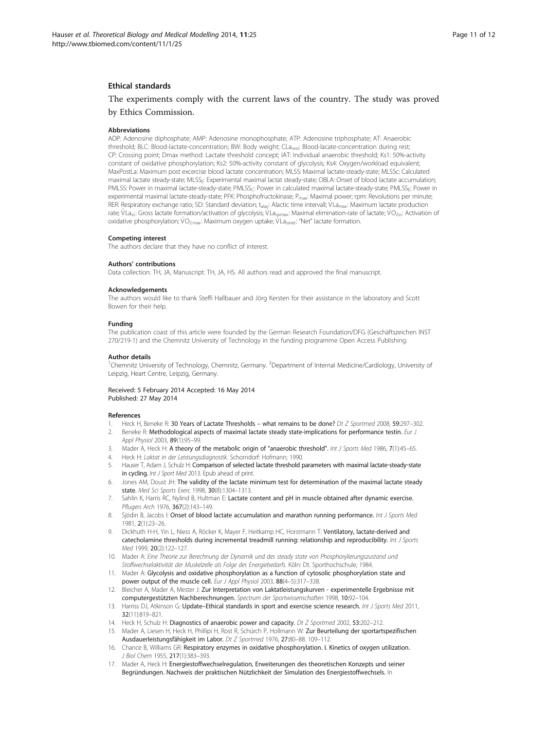#### <span id="page-10-0"></span>Ethical standards

The experiments comply with the current laws of the country. The study was proved by Ethics Commission.

#### **Abbreviations**

ADP: Adenosine diphosphate; AMP: Adenosine monophosphate; ATP: Adenosine triphosphate; AT: Anaerobic threshold; BLC: Blood-lactate-concentration; BW: Body weight; CLa<sub>rest</sub>: Blood-lacate-concentration during rest; CP: Crossing point; Dmax method: Lactate threshold concept; IAT: Individual anaerobic threshold; Ks1: 50%-activity constant of oxidative phosphorylation; Ks2: 50%-activity constant of glycolysis; Ks4: Oxygen/workload equivalent; MaxPostLa: Maximum post excercise blood lactate concentration; MLSS: Maximal lactate-steady-state; MLSSc: Calculated maximal lactate steady-state; MLSSE: Experimental maximal lactat steady-state; OBLA: Onset of blood lactate accumulation; PMLSS: Power in maximal lactate-steady-state; PMLSS<sub>C</sub>: Power in calculated maximal lactate-steady-state; PMLSS<sub>E</sub>: Power in experimental maximal lactate-steady-state; PFK: Phosphofructokinase; P<sub>max</sub>: Maximal power; rpm: Revolutions per minute; RER: Respiratory exchange ratio; SD: Standard deviation; t<sub>alac</sub>: Alactic time intervall; VLa<sub>max</sub>: Maximum lactate production rate; VLa<sub>ss</sub>: Gross lactate formation/activation of glycolysis; VLa<sub>oxmax</sub>: Maximal elimination-rate of lactate; VO<sub>2ss</sub>: Activation of oxidative phosphorylation;  $VO_{2\text{ max}}$ : Maximum oxygen uptake; VLa<sub>ssnet</sub>: "Net" lactate formation.

#### Competing interest

The authors declare that they have no conflict of interest.

#### Authors' contributions

Data collection: TH, JA, Manuscript: TH, JA, HS. All authors read and approved the final manuscript.

#### Acknowledgements

The authors would like to thank Steffi Hallbauer and Jörg Kersten for their assistance in the laboratory and Scott Bowen for their help.

#### Funding

The publication coast of this article were founded by the German Research Foundation/DFG (Geschäftszeichen INST 270/219-1) and the Chemnitz University of Technology in the funding programme Open Access Publishing.

#### Author details

<sup>1</sup>Chemnitz University of Technology, Chemnitz, Germany. <sup>2</sup>Department of Internal Medicine/Cardiology, University of Leipzig, Heart Centre, Leipzig, Germany.

#### Received: 5 February 2014 Accepted: 16 May 2014 Published: 27 May 2014

#### References

- 1. Heck H, Beneke R: 30 Years of Lactate Thresholds what remains to be done? Dt Z Sportmed 2008, 59:297-302.
- 2. Beneke R: Methodological aspects of maximal lactate steady state-implications for performance testin. Eur J Appl Physiol 2003, 89(1):95–99.
- 3. Mader A, Heck H: A theory of the metabolic origin of "anaerobic threshold". Int J Sports Med 1986, 7(1):45-65.
- 4. Heck H: Laktat in der Leistungsdiagnostik. Schorndorf: Hofmann; 1990.
- 5. Hauser T, Adam J, Schulz H: Comparison of selected lactate threshold parameters with maximal lactate‐steady‐state in cycling. Int J Sport Med 2013. Epub ahead of print.
- Jones AM, Doust JH: The validity of the lactate minimum test for determination of the maximal lactate steady state. Med Sci Sports Exerc 1998, 30(8):1304–1313.
- 7. Sahlin K, Harris RC, Nylind B, Hultman E: Lactate content and pH in muscle obtained after dynamic exercise. Pflugers Arch 1976, 367(2):143-149.
- 8. Sjödin B, Jacobs I: Onset of blood lactate accumulation and marathon running performance. Int J Sports Med 1981, 2(1):23–26.
- 9. Dickhuth H-H, Yin L, Niess A, Röcker K, Mayer F, Heitkamp HC, Horstmann T: Ventilatory, lactate-derived and catecholamine thresholds during incremental treadmill running: relationship and reproducibility. Int J Sports Med 1999, 20(2):122-127.
- 10. Mader A: Eine Theorie zur Berechnung der Dynamik und des steady state von Phosphorylierungszustand und Stoffwechselaktivität der Muskelzelle als Folge des Energiebedarfs. Köln: Dt. Sporthochschule; 1984.
- 11. Mader A: Glycolysis and oxidative phosphorylation as a function of cytosolic phosphorylation state and power output of the muscle cell. Eur J Appl Physiol 2003, 88(4-5):317-338.
- 12. Bleicher A, Mader A, Mester J: Zur Interpretation von Laktatleistungskurven experimentelle Ergebnisse mit computergestützten Nachberechnungen. Spectrum der Sportwissenschaften 1998, 10:92–104.
- 13. Harriss DJ, Atkinson G: Update–Ethical standards in sport and exercise science research. Int J Sports Med 2011, 32(11):819–821.
- 14. Heck H, Schulz H: Diagnostics of anaerobic power and capacity. Dt Z Sportmed 2002, 53:202-212.
- 15. Mader A, Liesen H, Heck H, Phillipi H, Rost R, Schürch P, Hollmann W: Zur Beurteilung der sportartspezifischen Ausdauerleistungsfähigkeit im Labor. Dt Z Sportmed 1976, 27:80–88. 109–112.
- 16. Chance B, Williams GR: Respiratory enzymes in oxidative phosphorylation. I. Kinetics of oxygen utilization. J Biol Chem 1955, 217(1):383–393.
- 17. Mader A, Heck H: Energiestoffwechselregulation, Erweiterungen des theoretischen Konzepts und seiner Begründungen. Nachweis der praktischen Nützlichkeit der Simulation des Energiestoffwechsels. In